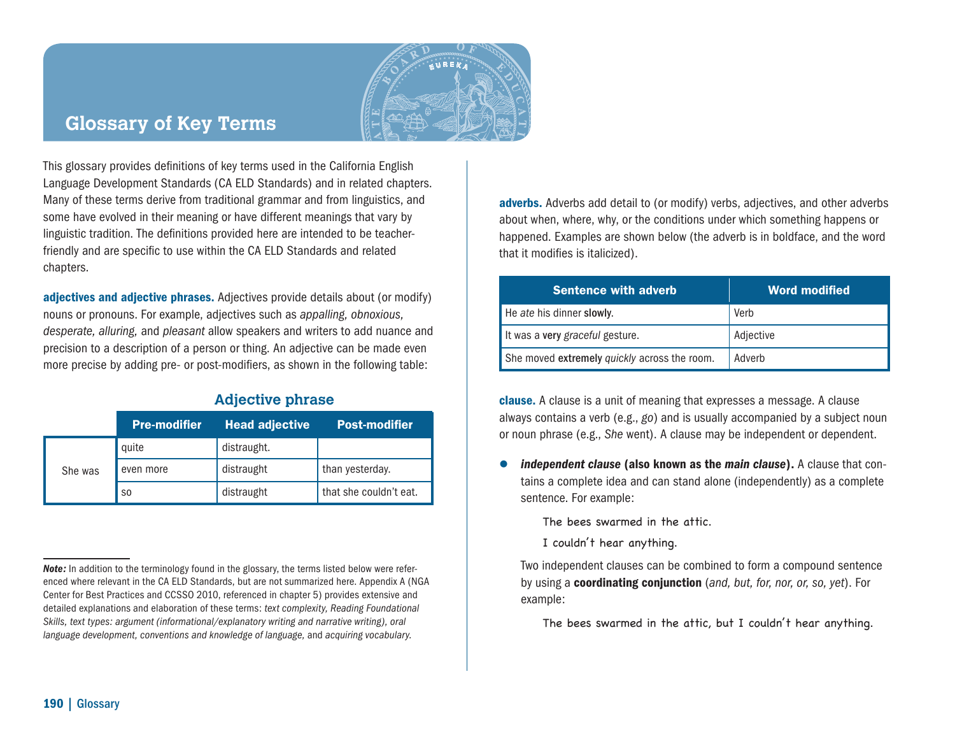

## **Glossary of Key Terms**

This glossary provides definitions of key terms used in the California English Language Development Standards (CA ELD Standards) and in related chapters. Many of these terms derive from traditional grammar and from linguistics, and some have evolved in their meaning or have different meanings that vary by linguistic tradition. The definitions provided here are intended to be teacherfriendly and are specific to use within the CA ELD Standards and related chapters.

adjectives and adjective phrases. Adjectives provide details about (or modify) nouns or pronouns. For example, adjectives such as *appalling, obnoxious, desperate, alluring,* and *pleasant* allow speakers and writers to add nuance and precision to a description of a person or thing. An adjective can be made even more precise by adding pre- or post-modifiers, as shown in the following table:

## **Adjective phrase**

|         | <b>Pre-modifier</b> | <b>Head adjective</b> | <b>Post-modifier</b>   |
|---------|---------------------|-----------------------|------------------------|
| She was | quite               | distraught.           |                        |
|         | even more           | distraught            | than yesterday.        |
|         | S <sub>0</sub>      | distraught            | that she couldn't eat. |

adverbs. Adverbs add detail to (or modify) verbs, adjectives, and other adverbs about when, where, why, or the conditions under which something happens or happened. Examples are shown below (the adverb is in boldface, and the word that it modifies is italicized).

| <b>Sentence with adverb</b>                  | <b>Word modified</b> |
|----------------------------------------------|----------------------|
| He ate his dinner slowly.                    | Verb                 |
| It was a very graceful gesture.              | Adjective            |
| She moved extremely quickly across the room. | Adverb               |

clause. A clause is a unit of meaning that expresses a message. A clause always contains a verb (e.g., *go*) and is usually accompanied by a subject noun or noun phrase (e.g., *She* went). A clause may be independent or dependent.

 *independent clause* (also known as the *main clause*). A clause that contains a complete idea and can stand alone (independently) as a complete sentence. For example:

The bees swarmed in the attic.

I couldn't hear anything.

 Two independent clauses can be combined to form a compound sentence by using a coordinating conjunction (*and, but, for, nor, or, so, yet*). For example:

The bees swarmed in the attic, but I couldn't hear anything.

**Note:** In addition to the terminology found in the glossary, the terms listed below were referenced where relevant in the CA ELD Standards, but are not summarized here. Appendix A (NGA Center for Best Practices and CCSSO 2010, referenced in chapter 5) provides extensive and detailed explanations and elaboration of these terms: *text complexity, Reading Foundational Skills, text types: argument (informational/explanatory writing and narrative writing), oral language development, conventions and knowledge of language,* and *acquiring vocabulary.*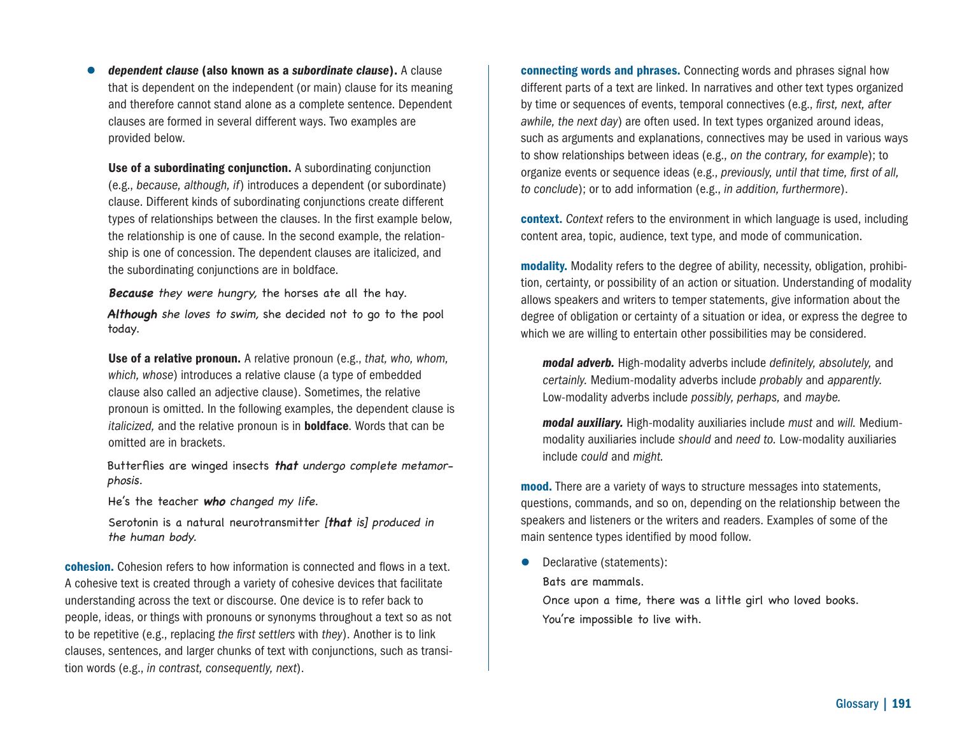*dependent clause* (also known as a *subordinate clause*). A clause that is dependent on the independent (or main) clause for its meaning and therefore cannot stand alone as a complete sentence. Dependent clauses are formed in several different ways. Two examples are provided below.

Use of a subordinating conjunction. A subordinating conjunction (e.g., *because, although, if*) introduces a dependent (or subordinate) clause. Different kinds of subordinating conjunctions create different types of relationships between the clauses. In the first example below, the relationship is one of cause. In the second example, the relationship is one of concession. The dependent clauses are italicized, and the subordinating conjunctions are in boldface.

**Because** they were hungry, the horses ate all the hay.

**Although** she loves to swim, she decided not to go to the pool today.

Use of a relative pronoun. A relative pronoun (e.g., *that, who, whom, which, whose*) introduces a relative clause (a type of embedded clause also called an adjective clause). Sometimes, the relative pronoun is omitted. In the following examples, the dependent clause is *italicized,* and the relative pronoun is in boldface. Words that can be omitted are in brackets.

Butterflies are winged insects **that** undergo complete metamorphosis.

He's the teacher **who** changed my life.

 Serotonin is a natural neurotransmitter [**that** is] produced in the human body.

cohesion. Cohesion refers to how information is connected and flows in a text. A cohesive text is created through a variety of cohesive devices that facilitate understanding across the text or discourse. One device is to refer back to people, ideas, or things with pronouns or synonyms throughout a text so as not to be repetitive (e.g., replacing *the first settlers* with *they*). Another is to link clauses, sentences, and larger chunks of text with conjunctions, such as transition words (e.g., *in contrast, consequently, next*).

connecting words and phrases. Connecting words and phrases signal how different parts of a text are linked. In narratives and other text types organized by time or sequences of events, temporal connectives (e.g., *first, next, after awhile, the next day*) are often used. In text types organized around ideas, such as arguments and explanations, connectives may be used in various ways to show relationships between ideas (e.g., *on the contrary, for example*); to organize events or sequence ideas (e.g., *previously, until that time, first of all, to conclude*); or to add information (e.g., *in addition, furthermore*).

context. *Context* refers to the environment in which language is used, including content area, topic, audience, text type, and mode of communication.

modality. Modality refers to the degree of ability, necessity, obligation, prohibition, certainty, or possibility of an action or situation. Understanding of modality allows speakers and writers to temper statements, give information about the degree of obligation or certainty of a situation or idea, or express the degree to which we are willing to entertain other possibilities may be considered.

*modal adverb.* High-modality adverbs include *definitely, absolutely,* and *certainly.* Medium-modality adverbs include *probably* and *apparently.* Low-modality adverbs include *possibly, perhaps,* and *maybe.*

*modal auxiliary.* High-modality auxiliaries include *must* and *will.* Mediummodality auxiliaries include *should* and *need to.* Low-modality auxiliaries include *could* and *might.*

**mood.** There are a variety of ways to structure messages into statements, questions, commands, and so on, depending on the relationship between the speakers and listeners or the writers and readers. Examples of some of the main sentence types identified by mood follow.

• Declarative (statements):

Bats are mammals.

 Once upon a time, there was a little girl who loved books. You're impossible to live with.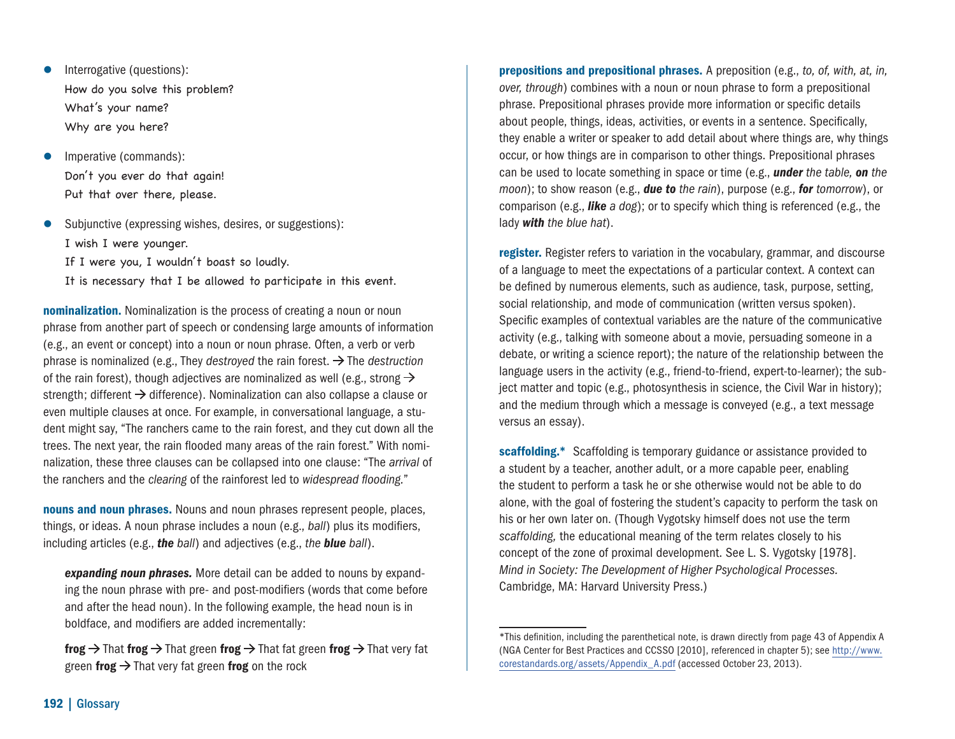- **Interrogative (questions):**  How do you solve this problem? What's your name? Why are you here?
- Imperative (commands): Don't you ever do that again! Put that over there, please.
- Subjunctive (expressing wishes, desires, or suggestions): I wish I were younger.

If I were you, I wouldn't boast so loudly.

It is necessary that I be allowed to participate in this event.

nominalization. Nominalization is the process of creating a noun or noun phrase from another part of speech or condensing large amounts of information (e.g., an event or concept) into a noun or noun phrase. Often, a verb or verb phrase is nominalized (e.g., They *destroyed* the rain forest.  $\rightarrow$  The *destruction* of the rain forest), though adjectives are nominalized as well (e.g., strong  $\rightarrow$ strength; different  $\rightarrow$  difference). Nominalization can also collapse a clause or even multiple clauses at once. For example, in conversational language, a student might say, "The ranchers came to the rain forest, and they cut down all the trees. The next year, the rain flooded many areas of the rain forest." With nominalization, these three clauses can be collapsed into one clause: "The *arrival* of the ranchers and the *clearing* of the rainforest led to *widespread flooding.*"

nouns and noun phrases. Nouns and noun phrases represent people, places, things, or ideas. A noun phrase includes a noun (e.g., *ball*) plus its modifiers, including articles (e.g., *the ball*) and adjectives (e.g., *the blue ball*).

*expanding noun phrases.* More detail can be added to nouns by expanding the noun phrase with pre- and post-modifiers (words that come before and after the head noun). In the following example, the head noun is in boldface, and modifiers are added incrementally:

frog  $\rightarrow$  That frog  $\rightarrow$  That green frog  $\rightarrow$  That fat green frog  $\rightarrow$  That very fat green frog  $\rightarrow$  That very fat green frog on the rock

prepositions and prepositional phrases. A preposition (e.g., *to, of, with, at, in, over, through*) combines with a noun or noun phrase to form a prepositional phrase. Prepositional phrases provide more information or specific details about people, things, ideas, activities, or events in a sentence. Specifically, they enable a writer or speaker to add detail about where things are, why things occur, or how things are in comparison to other things. Prepositional phrases can be used to locate something in space or time (e.g., *under the table, on the moon*); to show reason (e.g., *due to the rain*), purpose (e.g., *for tomorrow*), or comparison (e.g., *like a dog*); or to specify which thing is referenced (e.g., the lady *with the blue hat*).

register. Register refers to variation in the vocabulary, grammar, and discourse of a language to meet the expectations of a particular context. A context can be defined by numerous elements, such as audience, task, purpose, setting, social relationship, and mode of communication (written versus spoken). Specific examples of contextual variables are the nature of the communicative activity (e.g., talking with someone about a movie, persuading someone in a debate, or writing a science report); the nature of the relationship between the language users in the activity (e.g., friend-to-friend, expert-to-learner); the subject matter and topic (e.g., photosynthesis in science, the Civil War in history); and the medium through which a message is conveyed (e.g., a text message versus an essay).

scaffolding.\* Scaffolding is temporary guidance or assistance provided to a student by a teacher, another adult, or a more capable peer, enabling the student to perform a task he or she otherwise would not be able to do alone, with the goal of fostering the student's capacity to perform the task on his or her own later on. (Though Vygotsky himself does not use the term *scaffolding,* the educational meaning of the term relates closely to his concept of the zone of proximal development. See L. S. Vygotsky [1978]. *Mind in Society: The Development of Higher Psychological Processes.* Cambridge, MA: Harvard University Press.)

<sup>\*</sup>This definition, including the parenthetical note, is drawn directly from page 43 of Appendix A (NGA Center for Best Practices and CCSSO [2010], referenced in chapter 5); see [http://www.](http://www.corestandards.org) [corestandards.org/assets/Appendix\\_A.pdf](http://www.corestandards.org) (accessed October 23, 2013).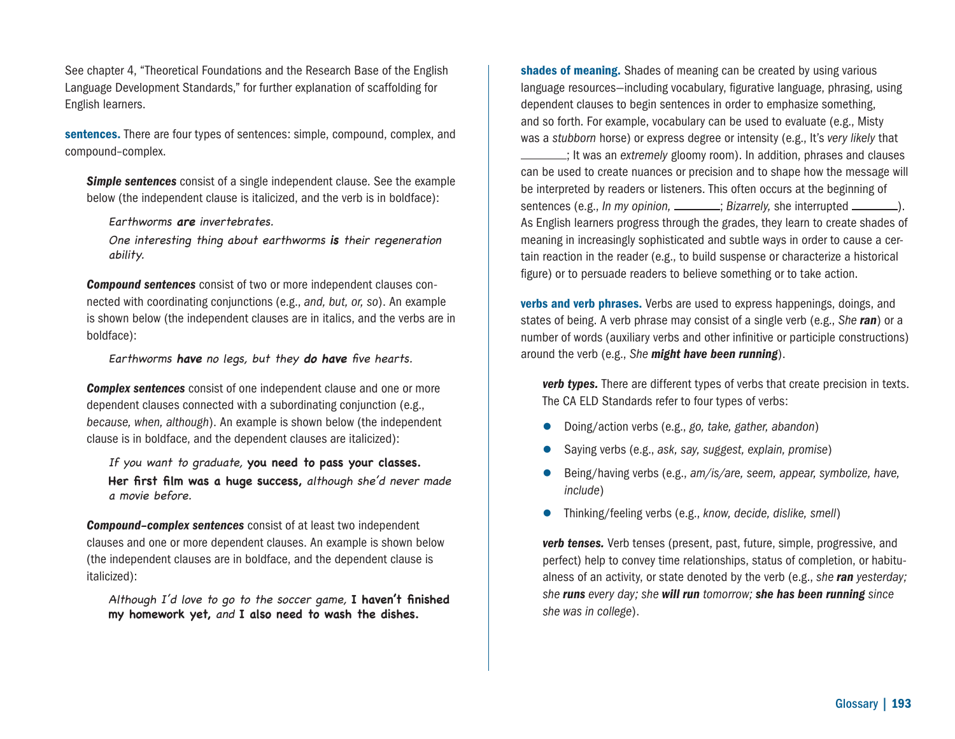See chapter 4, "Theoretical Foundations and the Research Base of the English Language Development Standards," for further explanation of scaffolding for English learners.

sentences. There are four types of sentences: simple, compound, complex, and compound–complex.

**Simple sentences** consist of a single independent clause. See the example below (the independent clause is italicized, and the verb is in boldface):

Earthworms **are** invertebrates.

One interesting thing about earthworms **is** their regeneration ability.

*Compound sentences* consist of two or more independent clauses connected with coordinating conjunctions (e.g., *and, but, or, so*). An example is shown below (the independent clauses are in italics, and the verbs are in boldface):

Earthworms **have** no legs, but they **do have** five hearts.

*Complex sentences* consist of one independent clause and one or more dependent clauses connected with a subordinating conjunction (e.g., *because, when, although*). An example is shown below (the independent clause is in boldface, and the dependent clauses are italicized):

If you want to graduate, **you need to pass your classes. Her first film was a huge success,** although she'd never made a movie before.

*Compound–complex sentences* consist of at least two independent clauses and one or more dependent clauses. An example is shown below (the independent clauses are in boldface, and the dependent clause is italicized):

Although I'd love to go to the soccer game, **I haven't finished my homework yet,** and **I also need to wash the dishes.**

shades of meaning. Shades of meaning can be created by using various language resources—including vocabulary, figurative language, phrasing, using dependent clauses to begin sentences in order to emphasize something, and so forth. For example, vocabulary can be used to evaluate (e.g., Misty was a *stubborn* horse) or express degree or intensity (e.g., It's *very likely* that ; It was an *extremely* gloomy room). In addition, phrases and clauses can be used to create nuances or precision and to shape how the message will be interpreted by readers or listeners. This often occurs at the beginning of sentences (e.g., *In my opinion, <u>\_\_\_\_\_\_</u>; Bizarrely,* she interrupted \_\_\_\_\_\_\_).

As English learners progress through the grades, they learn to create shades of meaning in increasingly sophisticated and subtle ways in order to cause a certain reaction in the reader (e.g., to build suspense or characterize a historical figure) or to persuade readers to believe something or to take action.

verbs and verb phrases. Verbs are used to express happenings, doings, and states of being. A verb phrase may consist of a single verb (e.g., *She ran*) or a number of words (auxiliary verbs and other infinitive or participle constructions) around the verb (e.g., *She might have been running*).

*verb types.* There are different types of verbs that create precision in texts. The CA ELD Standards refer to four types of verbs:

- Doing/action verbs (e.g., *go, take, gather, abandon*)
- Saying verbs (e.g., *ask, say, suggest, explain, promise*)
- Being/having verbs (e.g., *am/is/are, seem, appear, symbolize, have, include*)
- Thinking/feeling verbs (e.g., *know, decide, dislike, smell*)

 *verb tenses.* Verb tenses (present, past, future, simple, progressive, and perfect) help to convey time relationships, status of completion, or habitualness of an activity, or state denoted by the verb (e.g., *she ran yesterday; she runs every day; she will run tomorrow; she has been running since she was in college*).